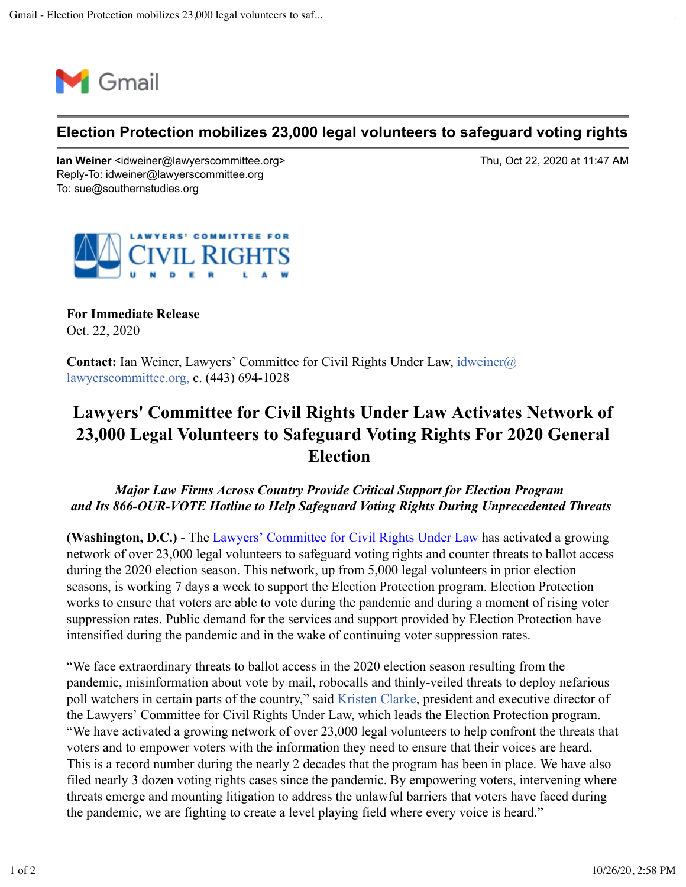

## **Election Protection mobilizes 23,000 legal volunteers to safeguard voting rights**

**Ian Weiner** <idweiner@lawyerscommittee.org> Thu, Oct 22, 2020 at 11:47 AM Reply-To: idweiner@lawyerscommittee.org To: sue@southernstudies.org



**For Immediate Release** Oct. 22, 2020

**Contact:** Ian Weiner, Lawyers' Committee for Civil Rights Under Law, idweiner@ lawyerscommittee.org, c. (443) 694-1028

## **Lawyers' Committee for Civil Rights Under Law Activates Network of 23,000 Legal Volunteers to Safeguard Voting Rights For 2020 General Election**

## *Major Law Firms Across Country Provide Critical Support for Election Program and Its 866-OUR-VOTE Hotline to Help Safeguard Voting Rights During Unprecedented Threats*

**(Washington, D.C.)** - The Lawyers' Committee for Civil Rights Under Law has activated a growing network of over 23,000 legal volunteers to safeguard voting rights and counter threats to ballot access during the 2020 election season. This network, up from 5,000 legal volunteers in prior election seasons, is working 7 days a week to support the Election Protection program. Election Protection works to ensure that voters are able to vote during the pandemic and during a moment of rising voter suppression rates. Public demand for the services and support provided by Election Protection have intensified during the pandemic and in the wake of continuing voter suppression rates.

"We face extraordinary threats to ballot access in the 2020 election season resulting from the pandemic, misinformation about vote by mail, robocalls and thinly-veiled threats to deploy nefarious poll watchers in certain parts of the country," said Kristen Clarke, president and executive director of the Lawyers' Committee for Civil Rights Under Law, which leads the Election Protection program. "We have activated a growing network of over 23,000 legal volunteers to help confront the threats that voters and to empower voters with the information they need to ensure that their voices are heard. This is a record number during the nearly 2 decades that the program has been in place. We have also filed nearly 3 dozen voting rights cases since the pandemic. By empowering voters, intervening where threats emerge and mounting litigation to address the unlawful barriers that voters have faced during the pandemic, we are fighting to create a level playing field where every voice is heard."